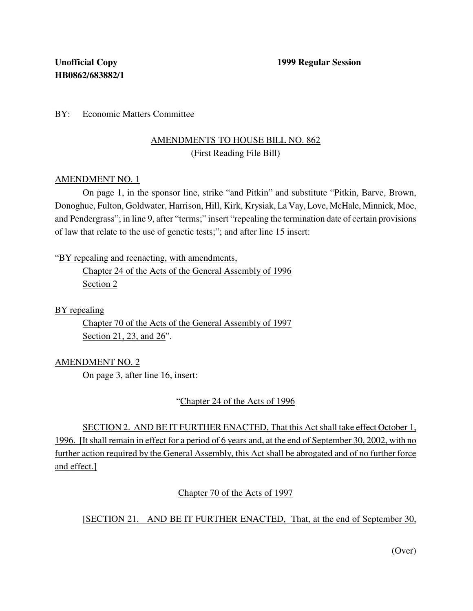BY: Economic Matters Committee

# AMENDMENTS TO HOUSE BILL NO. 862 (First Reading File Bill)

#### AMENDMENT NO. 1

On page 1, in the sponsor line, strike "and Pitkin" and substitute "Pitkin, Barve, Brown, Donoghue, Fulton, Goldwater, Harrison, Hill, Kirk, Krysiak, La Vay, Love, McHale, Minnick, Moe, and Pendergrass"; in line 9, after "terms;" insert "repealing the termination date of certain provisions of law that relate to the use of genetic tests;"; and after line 15 insert:

"BY repealing and reenacting, with amendments,

Chapter 24 of the Acts of the General Assembly of 1996 Section 2

BY repealing

Chapter 70 of the Acts of the General Assembly of 1997 Section 21, 23, and 26".

## AMENDMENT NO. 2

On page 3, after line 16, insert:

"Chapter 24 of the Acts of 1996

SECTION 2. AND BE IT FURTHER ENACTED, That this Act shall take effect October 1, 1996. [Itshall remain in effect for a period of 6 years and, at the end of September 30, 2002, with no further action required by the General Assembly, this Act shall be abrogated and of no further force and effect.]

Chapter 70 of the Acts of 1997

[SECTION 21. AND BE IT FURTHER ENACTED, That, at the end of September 30,

(Over)